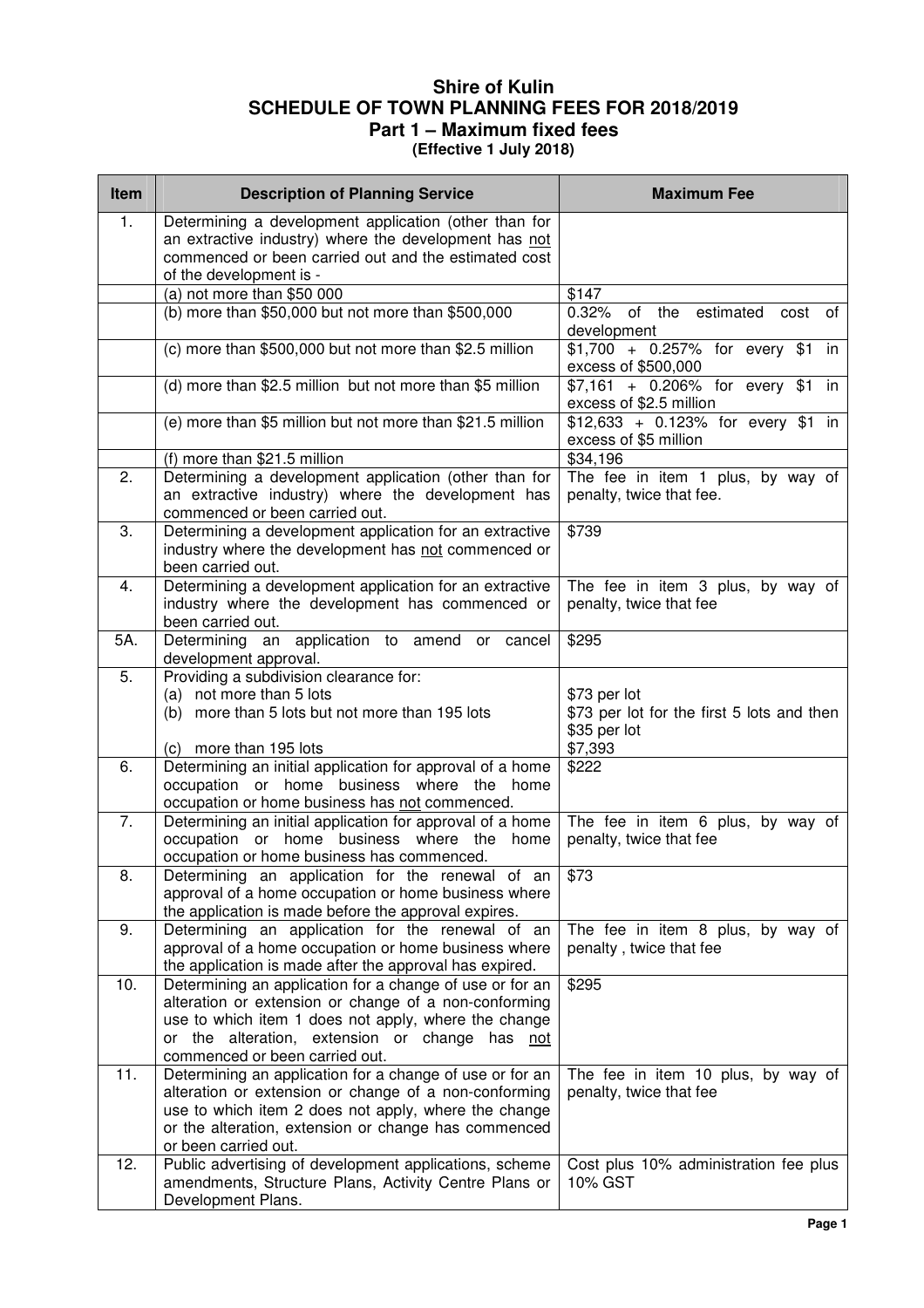## **Shire of Kulin SCHEDULE OF TOWN PLANNING FEES FOR 2018/2019 Part 1 – Maximum fixed fees**

**(Effective 1 July 2018)** 

| Item | <b>Description of Planning Service</b>                                                                                                                                                                                                                        | <b>Maximum Fee</b>                                                                    |
|------|---------------------------------------------------------------------------------------------------------------------------------------------------------------------------------------------------------------------------------------------------------------|---------------------------------------------------------------------------------------|
| 1.   | Determining a development application (other than for<br>an extractive industry) where the development has not<br>commenced or been carried out and the estimated cost<br>of the development is -                                                             |                                                                                       |
|      | (a) not more than $$50 000$                                                                                                                                                                                                                                   | \$147                                                                                 |
|      | (b) more than \$50,000 but not more than \$500,000                                                                                                                                                                                                            | 0.32% of the<br>estimated<br>cost<br>of<br>development                                |
|      | (c) more than \$500,000 but not more than \$2.5 million                                                                                                                                                                                                       | $$1,700 + 0.257\%$ for every \$1 in<br>excess of \$500,000                            |
|      | (d) more than \$2.5 million but not more than \$5 million                                                                                                                                                                                                     | $$7,161$ + 0.206% for every \$1<br>in.<br>excess of \$2.5 million                     |
|      | (e) more than \$5 million but not more than \$21.5 million                                                                                                                                                                                                    | \$12,633 + 0.123% for every \$1 in<br>excess of \$5 million                           |
|      | (f) more than \$21.5 million                                                                                                                                                                                                                                  | \$34,196                                                                              |
| 2.   | Determining a development application (other than for<br>an extractive industry) where the development has<br>commenced or been carried out.                                                                                                                  | The fee in item 1 plus, by way of<br>penalty, twice that fee.                         |
| 3.   | Determining a development application for an extractive<br>industry where the development has not commenced or<br>been carried out.                                                                                                                           | \$739                                                                                 |
| 4.   | Determining a development application for an extractive<br>industry where the development has commenced or<br>been carried out.                                                                                                                               | The fee in item 3 plus, by way of<br>penalty, twice that fee                          |
| 5A.  | Determining an application to amend or cancel<br>development approval.                                                                                                                                                                                        | \$295                                                                                 |
| 5.   | Providing a subdivision clearance for:<br>(a) not more than 5 lots<br>(b) more than 5 lots but not more than 195 lots<br>(c) more than 195 lots                                                                                                               | \$73 per lot<br>\$73 per lot for the first 5 lots and then<br>\$35 per lot<br>\$7,393 |
| 6.   | Determining an initial application for approval of a home<br>occupation or home business where the home<br>occupation or home business has not commenced.                                                                                                     | \$222                                                                                 |
| 7.   | Determining an initial application for approval of a home<br>occupation or home business where the home<br>occupation or home business has commenced.                                                                                                         | The fee in item 6 plus, by way of<br>penalty, twice that fee                          |
| 8.   | Determining an application for the renewal of an<br>approval of a home occupation or home business where<br>the application is made before the approval expires.                                                                                              | \$73                                                                                  |
| 9.   | Determining an application for the renewal of an<br>approval of a home occupation or home business where<br>the application is made after the approval has expired.                                                                                           | The fee in item 8 plus, by way of<br>penalty, twice that fee                          |
| 10.  | Determining an application for a change of use or for an<br>alteration or extension or change of a non-conforming<br>use to which item 1 does not apply, where the change<br>or the alteration, extension or change has not<br>commenced or been carried out. | \$295                                                                                 |
| 11.  | Determining an application for a change of use or for an<br>alteration or extension or change of a non-conforming<br>use to which item 2 does not apply, where the change<br>or the alteration, extension or change has commenced<br>or been carried out.     | The fee in item 10 plus, by way of<br>penalty, twice that fee                         |
| 12.  | Public advertising of development applications, scheme<br>amendments, Structure Plans, Activity Centre Plans or<br>Development Plans.                                                                                                                         | Cost plus 10% administration fee plus<br>10% GST                                      |